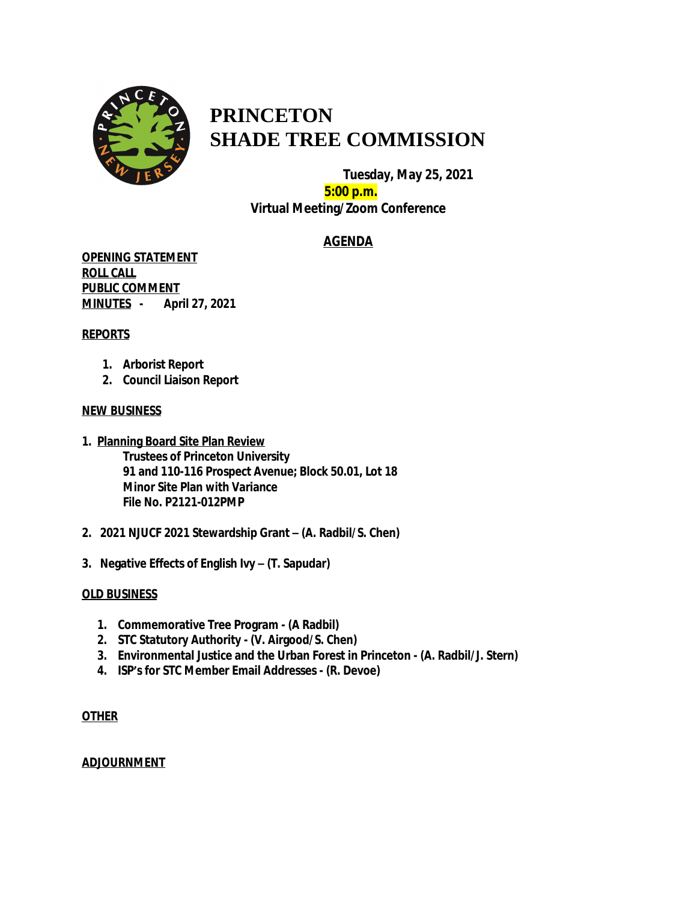

# **PRINCETON SHADE TREE COMMISSION**

 **Tuesday, May 25, 2021 5:00 p.m. Virtual Meeting/Zoom Conference**

# **AGENDA**

**OPENING STATEMENT ROLL CALL PUBLIC COMMENT MINUTES - April 27, 2021**

# **REPORTS**

- **1. Arborist Report**
- **2. Council Liaison Report**

# **NEW BUSINESS**

- **1. Planning Board Site Plan Review Trustees of Princeton University 91 and 110-116 Prospect Avenue; Block 50.01, Lot 18 Minor Site Plan with Variance File No. P2121-012PMP**
- **2. 2021 NJUCF 2021 Stewardship Grant – (A. Radbil/S. Chen)**
- **3. Negative Effects of English Ivy – (T. Sapudar)**

# **OLD BUSINESS**

- **1. Commemorative Tree Program (A Radbil)**
- **2. STC Statutory Authority (V. Airgood/S. Chen)**
- **3. Environmental Justice and the Urban Forest in Princeton (A. Radbil/J. Stern)**
- **4. ISP's for STC Member Email Addresses (R. Devoe)**

# **OTHER**

# **ADJOURNMENT**